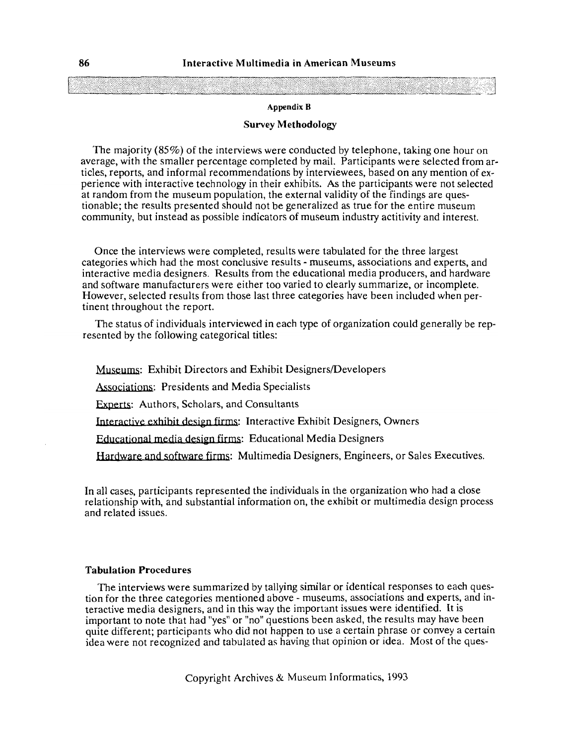### **Appendix B**

# **Survey Methodology**

The majority (85%) of the interviews were conducted by telephone, taking one hour on average, with the smaller percentage completed by mail. Participants were selected from articles, reports, and informal recommendations by interviewees, based on any mention of experience with interactive technology in their exhibits. **As** the participants were not selected at random from the museum population, the external validity of the findings are questionable; the results presented should not be generalized as true for the entire museum community, but instead as possible indicators of museum industry actitivity and interest.

Once the interviews were completed, results were tabulated for the three largest categories which had the most conclusive results - museums, associations and experts, and interactive media designers. Results from the educational media producers, and hardware and software manufacturers were either too varied to clearly summarize, or incomplete. However, selected results from those last three categories have been included when pertinent throughout the report.

The status of individuals interviewed in each type of organization could generally be represented by the following categorical titles:

Museums: Exhibit Directors and Exhibit Designers/Developers Associations: Presidents and Media Specialists **Experts: Authors, Scholars, and Consultants** Shee the Intertional media design firms: Educational Media Designers<br>Egories which had the most conclusive results - museums, associated to<br>stractive media designers. Results from the educational media<br>software manufacture ience with interactive etchnology in their exhibits. As the participans were not selected random from the museum population, the external validity of the findings are questiable; the results presented should not be general Interactive exhibit design firms: Interactive Exhibit Designers, Owners Educational media design firms: Educational Media Designers

Hardware and software firms: Multimedia Designers, Engineers, or Sales Executives.

In all cases, participants represented the individuals in the organization who had a close relationship with, and substantial information on, the exhibit or multimedia design process and related issues.

# **Tabula tion Procedures**

The interviews were summarized by tallying similar or identical responses to each question for the three categories mentioned above - museums, associations and experts, and interactive media designers, and in this way the important issues were identified. It is important to note that had "yes" or "no" questions been asked, the results may have been quite different; participants who did not happen to use a certain phrase or convey a certain idea were not recognized and tabulated as having that opinion or idea. Most of the ques-

Copyright Archives *8L* Museum Informatics, 1993